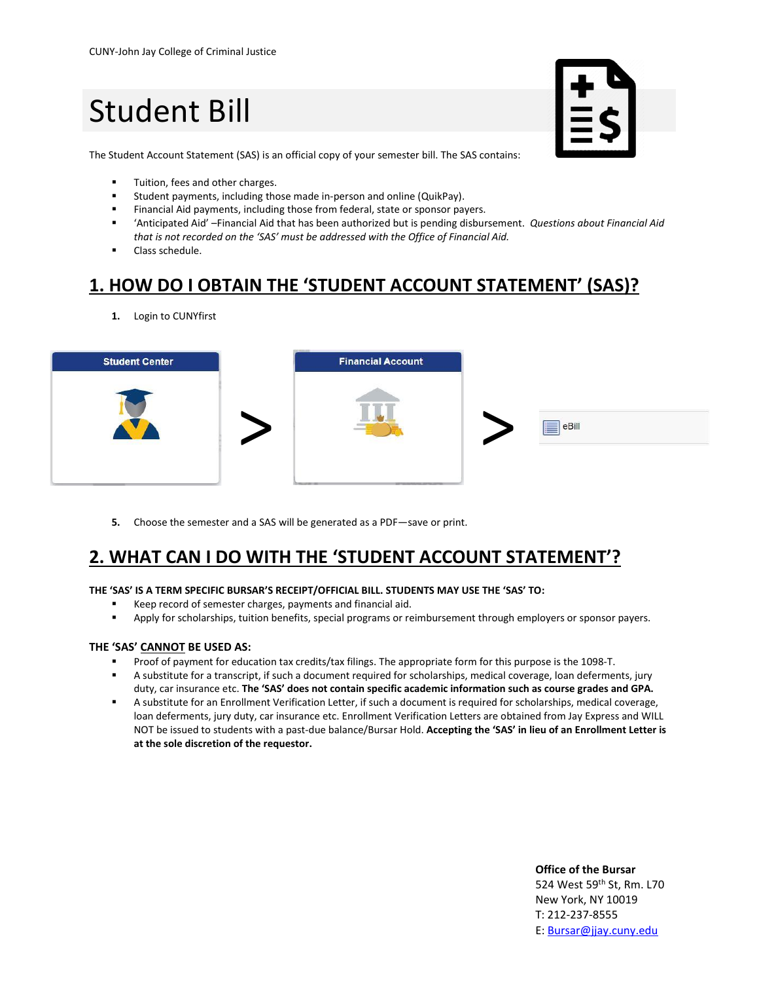# Student Bill



The Student Account Statement (SAS) is an official copy of your semester bill. The SAS contains:

- **■** Tuition, fees and other charges.
- Student payments, including those made in-person and online (QuikPay).
- **EXECTE FINANCIAL AID FINANCIA** Financial Aid payments, including those from federal, state or sponsor payers.
- 'Anticipated Aid' –Financial Aid that has been authorized but is pending disbursement. *Questions about Financial Aid that is not recorded on the 'SAS' must be addressed with the Office of Financial Aid.*
- Class schedule.

### **1. HOW DO I OBTAIN THE 'STUDENT ACCOUNT STATEMENT' (SAS)?**

**1.** Login to CUNYfirst



**5.** Choose the semester and a SAS will be generated as a PDF—save or print.

### **2. WHAT CAN I DO WITH THE 'STUDENT ACCOUNT STATEMENT'?**

#### **THE 'SAS' IS A TERM SPECIFIC BURSAR'S RECEIPT/OFFICIAL BILL. STUDENTS MAY USE THE 'SAS' TO:**

- Keep record of semester charges, payments and financial aid.
- **Apply for scholarships, tuition benefits, special programs or reimbursement through employers or sponsor payers.**

#### **THE 'SAS' CANNOT BE USED AS:**

- Proof of payment for education tax credits/tax filings. The appropriate form for this purpose is the 1098-T.
- A substitute for a transcript, if such a document required for scholarships, medical coverage, loan deferments, jury duty, car insurance etc. **The 'SAS' does not contain specific academic information such as course grades and GPA.**
- A substitute for an Enrollment Verification Letter, if such a document is required for scholarships, medical coverage, loan deferments, jury duty, car insurance etc. Enrollment Verification Letters are obtained from Jay Express and WILL NOT be issued to students with a past-due balance/Bursar Hold. **Accepting the 'SAS' in lieu of an Enrollment Letter is at the sole discretion of the requestor.**

#### **Office of the Bursar** 524 West 59<sup>th</sup> St, Rm. L70 New York, NY 10019 T: 212-237-8555 E: [Bursar@jjay.cuny.edu](mailto:Bursar@jjay.cuny.edu)